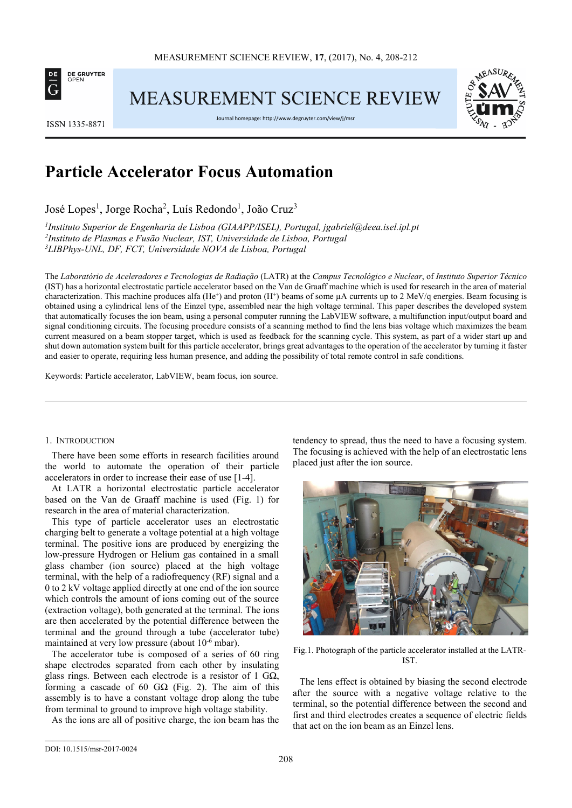

MEASUREMENT SCIENCE REVIEW



ISSN 1335-8871

Journal homepage: http://www.degruyter.com/view/j/msr

# **Particle Accelerator Focus Automation**

José Lopes<sup>1</sup>, Jorge Rocha<sup>2</sup>, Luís Redondo<sup>1</sup>, João Cruz<sup>3</sup>

*1 Instituto Superior de Engenharia de Lisboa (GIAAPP/ISEL), Portugal, jgabriel@deea.isel.ipl.pt*  <sup>2</sup>Instituto de Plasmas e Fusão Nuclear, IST, Universidade de Lisboa, Portugal *<sup>3</sup>LIBPhys-UNL, DF, FCT, Universidade NOVA de Lisboa, Portugal* 

The *Laboratório de Aceleradores e Tecnologias de Radiação* (LATR) at the *Campus Tecnológico e Nuclear*, of *Instituto Superior Técnico* (IST) has a horizontal electrostatic particle accelerator based on the Van de Graaff machine which is used for research in the area of material characterization. This machine produces alfa (He<sup>+</sup>) and proton (H<sup>+</sup>) beams of some  $\mu$ A currents up to 2 MeV/q energies. Beam focusing is obtained using a cylindrical lens of the Einzel type, assembled near the high voltage terminal. This paper describes the developed system that automatically focuses the ion beam, using a personal computer running the LabVIEW software, a multifunction input/output board and signal conditioning circuits. The focusing procedure consists of a scanning method to find the lens bias voltage which maximizes the beam current measured on a beam stopper target, which is used as feedback for the scanning cycle. This system, as part of a wider start up and shut down automation system built for this particle accelerator, brings great advantages to the operation of the accelerator by turning it faster and easier to operate, requiring less human presence, and adding the possibility of total remote control in safe conditions.

Keywords: Particle accelerator, LabVIEW, beam focus, ion source.

## 1. INTRODUCTION

There have been some efforts in research facilities around the world to automate the operation of their particle accelerators in order to increase their ease of use [1-4].

At LATR a horizontal electrostatic particle accelerator based on the Van de Graaff machine is used (Fig. 1) for research in the area of material characterization.

This type of particle accelerator uses an electrostatic charging belt to generate a voltage potential at a high voltage terminal. The positive ions are produced by energizing the low-pressure Hydrogen or Helium gas contained in a small glass chamber (ion source) placed at the high voltage terminal, with the help of a radiofrequency (RF) signal and a 0 to 2 kV voltage applied directly at one end of the ion source which controls the amount of ions coming out of the source (extraction voltage), both generated at the terminal. The ions are then accelerated by the potential difference between the terminal and the ground through a tube (accelerator tube) maintained at very low pressure (about  $10^{-6}$  mbar).

The accelerator tube is composed of a series of 60 ring shape electrodes separated from each other by insulating glass rings. Between each electrode is a resistor of 1  $G\Omega$ , forming a cascade of 60  $G\Omega$  (Fig. 2). The aim of this assembly is to have a constant voltage drop along the tube from terminal to ground to improve high voltage stability.

As the ions are all of positive charge, the ion beam has the

tendency to spread, thus the need to have a focusing system. The focusing is achieved with the help of an electrostatic lens placed just after the ion source.



Fig.1. Photograph of the particle accelerator installed at the LATR-IST.

The lens effect is obtained by biasing the second electrode after the source with a negative voltage relative to the terminal, so the potential difference between the second and first and third electrodes creates a sequence of electric fields that act on the ion beam as an Einzel lens.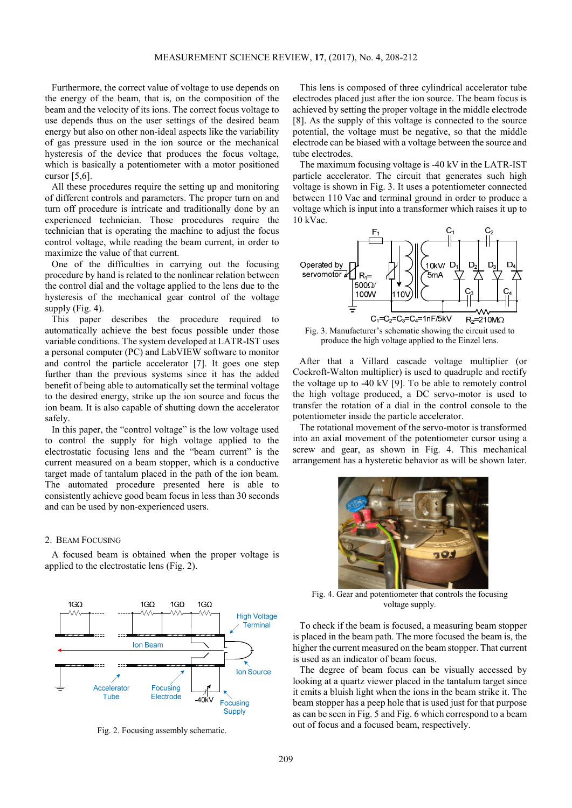Furthermore, the correct value of voltage to use depends on the energy of the beam, that is, on the composition of the beam and the velocity of its ions. The correct focus voltage to use depends thus on the user settings of the desired beam energy but also on other non-ideal aspects like the variability of gas pressure used in the ion source or the mechanical hysteresis of the device that produces the focus voltage, which is basically a potentiometer with a motor positioned cursor [5,6].

All these procedures require the setting up and monitoring of different controls and parameters. The proper turn on and turn off procedure is intricate and traditionally done by an experienced technician. Those procedures require the technician that is operating the machine to adjust the focus control voltage, while reading the beam current, in order to maximize the value of that current.

One of the difficulties in carrying out the focusing procedure by hand is related to the nonlinear relation between the control dial and the voltage applied to the lens due to the hysteresis of the mechanical gear control of the voltage supply (Fig. 4).

This paper describes the procedure required to automatically achieve the best focus possible under those variable conditions. The system developed at LATR-IST uses a personal computer (PC) and LabVIEW software to monitor and control the particle accelerator [7]. It goes one step further than the previous systems since it has the added benefit of being able to automatically set the terminal voltage to the desired energy, strike up the ion source and focus the ion beam. It is also capable of shutting down the accelerator safely.

In this paper, the "control voltage" is the low voltage used to control the supply for high voltage applied to the electrostatic focusing lens and the "beam current" is the current measured on a beam stopper, which is a conductive target made of tantalum placed in the path of the ion beam. The automated procedure presented here is able to consistently achieve good beam focus in less than 30 seconds and can be used by non-experienced users.

### 2. BEAM FOCUSING

A focused beam is obtained when the proper voltage is applied to the electrostatic lens (Fig. 2).



Fig. 2. Focusing assembly schematic.

This lens is composed of three cylindrical accelerator tube electrodes placed just after the ion source. The beam focus is achieved by setting the proper voltage in the middle electrode [8]. As the supply of this voltage is connected to the source potential, the voltage must be negative, so that the middle electrode can be biased with a voltage between the source and tube electrodes.

The maximum focusing voltage is -40 kV in the LATR-IST particle accelerator. The circuit that generates such high voltage is shown in Fig. 3. It uses a potentiometer connected between 110 Vac and terminal ground in order to produce a voltage which is input into a transformer which raises it up to 10 kVac.



Fig. 3. Manufacturer's schematic showing the circuit used to produce the high voltage applied to the Einzel lens.

After that a Villard cascade voltage multiplier (or Cockroft-Walton multiplier) is used to quadruple and rectify the voltage up to -40 kV [9]. To be able to remotely control the high voltage produced, a DC servo-motor is used to transfer the rotation of a dial in the control console to the potentiometer inside the particle accelerator.

The rotational movement of the servo-motor is transformed into an axial movement of the potentiometer cursor using a screw and gear, as shown in Fig. 4. This mechanical arrangement has a hysteretic behavior as will be shown later.



Fig. 4. Gear and potentiometer that controls the focusing voltage supply.

To check if the beam is focused, a measuring beam stopper is placed in the beam path. The more focused the beam is, the higher the current measured on the beam stopper. That current is used as an indicator of beam focus.

The degree of beam focus can be visually accessed by looking at a quartz viewer placed in the tantalum target since it emits a bluish light when the ions in the beam strike it. The beam stopper has a peep hole that is used just for that purpose as can be seen in Fig. 5 and Fig. 6 which correspond to a beam out of focus and a focused beam, respectively.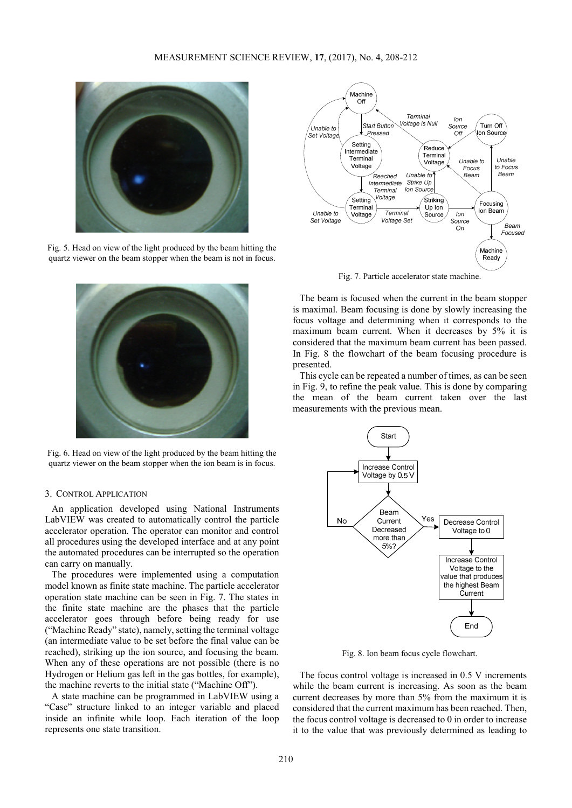

Fig. 5. Head on view of the light produced by the beam hitting the quartz viewer on the beam stopper when the beam is not in focus.



Fig. 6. Head on view of the light produced by the beam hitting the quartz viewer on the beam stopper when the ion beam is in focus.

#### 3. CONTROL APPLICATION

An application developed using National Instruments LabVIEW was created to automatically control the particle accelerator operation. The operator can monitor and control all procedures using the developed interface and at any point the automated procedures can be interrupted so the operation can carry on manually.

The procedures were implemented using a computation model known as finite state machine. The particle accelerator operation state machine can be seen in Fig. 7. The states in the finite state machine are the phases that the particle accelerator goes through before being ready for use ("Machine Ready" state), namely, setting the terminal voltage (an intermediate value to be set before the final value can be reached), striking up the ion source, and focusing the beam. When any of these operations are not possible (there is no Hydrogen or Helium gas left in the gas bottles, for example), the machine reverts to the initial state ("Machine Off").

A state machine can be programmed in LabVIEW using a "Case" structure linked to an integer variable and placed inside an infinite while loop. Each iteration of the loop represents one state transition.



Fig. 7. Particle accelerator state machine.

The beam is focused when the current in the beam stopper is maximal. Beam focusing is done by slowly increasing the focus voltage and determining when it corresponds to the maximum beam current. When it decreases by 5% it is considered that the maximum beam current has been passed. In Fig. 8 the flowchart of the beam focusing procedure is presented.

This cycle can be repeated a number of times, as can be seen in Fig. 9, to refine the peak value. This is done by comparing the mean of the beam current taken over the last measurements with the previous mean.



Fig. 8. Ion beam focus cycle flowchart.

The focus control voltage is increased in 0.5 V increments while the beam current is increasing. As soon as the beam current decreases by more than 5% from the maximum it is considered that the current maximum has been reached. Then, the focus control voltage is decreased to 0 in order to increase it to the value that was previously determined as leading to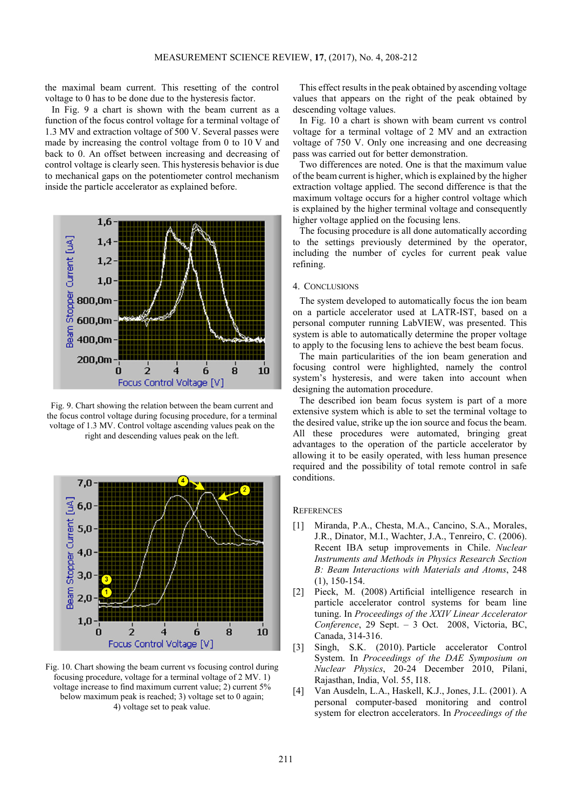the maximal beam current. This resetting of the control voltage to 0 has to be done due to the hysteresis factor.

In Fig. 9 a chart is shown with the beam current as a function of the focus control voltage for a terminal voltage of 1.3 MV and extraction voltage of 500 V. Several passes were made by increasing the control voltage from 0 to 10 V and back to 0. An offset between increasing and decreasing of control voltage is clearly seen. This hysteresis behavior is due to mechanical gaps on the potentiometer control mechanism inside the particle accelerator as explained before.



Fig. 9. Chart showing the relation between the beam current and the focus control voltage during focusing procedure, for a terminal voltage of 1.3 MV. Control voltage ascending values peak on the right and descending values peak on the left.



Fig. 10. Chart showing the beam current vs focusing control during focusing procedure, voltage for a terminal voltage of 2 MV. 1) voltage increase to find maximum current value; 2) current 5% below maximum peak is reached; 3) voltage set to 0 again; 4) voltage set to peak value.

This effect results in the peak obtained by ascending voltage values that appears on the right of the peak obtained by descending voltage values.

In Fig. 10 a chart is shown with beam current vs control voltage for a terminal voltage of 2 MV and an extraction voltage of 750 V. Only one increasing and one decreasing pass was carried out for better demonstration.

Two differences are noted. One is that the maximum value of the beam current is higher, which is explained by the higher extraction voltage applied. The second difference is that the maximum voltage occurs for a higher control voltage which is explained by the higher terminal voltage and consequently higher voltage applied on the focusing lens.

The focusing procedure is all done automatically according to the settings previously determined by the operator, including the number of cycles for current peak value refining.

### 4. CONCLUSIONS

The system developed to automatically focus the ion beam on a particle accelerator used at LATR-IST, based on a personal computer running LabVIEW, was presented. This system is able to automatically determine the proper voltage to apply to the focusing lens to achieve the best beam focus.

The main particularities of the ion beam generation and focusing control were highlighted, namely the control system's hysteresis, and were taken into account when designing the automation procedure.

The described ion beam focus system is part of a more extensive system which is able to set the terminal voltage to the desired value, strike up the ion source and focus the beam. All these procedures were automated, bringing great advantages to the operation of the particle accelerator by allowing it to be easily operated, with less human presence required and the possibility of total remote control in safe conditions.

### **REFERENCES**

- [1] Miranda, P.A., Chesta, M.A., Cancino, S.A., Morales, J.R., Dinator, M.I., Wachter, J.A., Tenreiro, C. (2006). Recent IBA setup improvements in Chile. *Nuclear Instruments and Methods in Physics Research Section B: Beam Interactions with Materials and Atoms*, 248 (1), 150-154.
- [2] Pieck, M. (2008) Artificial intelligence research in particle accelerator control systems for beam line tuning. In *Proceedings of the XXIV Linear Accelerator Conference*, 29 Sept. – 3 Oct. 2008, Victoria, BC, Canada, 314-316.
- [3] Singh, S.K. (2010). Particle accelerator Control System. In *Proceedings of the DAE Symposium on Nuclear Physics*, 20-24 December 2010, Pilani, Rajasthan, India, Vol. 55, I18.
- [4] Van Ausdeln, L.A., Haskell, K.J., Jones, J.L. (2001). A personal computer-based monitoring and control system for electron accelerators. In *Proceedings of the*